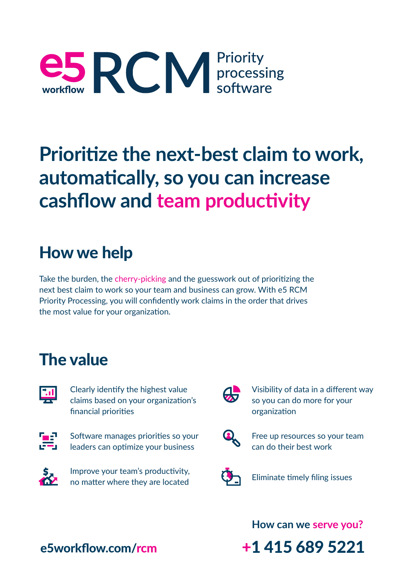

## **Prioritize the next-best claim to work, automatically, so you can increase cashflow and team productivity**

#### How we help

Take the burden, the cherry-picking and the guesswork out of prioritizing the next best claim to work so your team and business can grow. With e5 RCM Priority Processing, you will confidently work claims in the order that drives the most value for your organization.

#### The value



Clearly identify the highest value claims based on your organization's financial priorities



Software manages priorities so your leaders can optimize your business



Improve your team's productivity, no matter where they are located



Visibility of data in a different way so you can do more for your organization



Free up resources so your team can do their best work



Eliminate timely filing issues

**How can we serve you?**

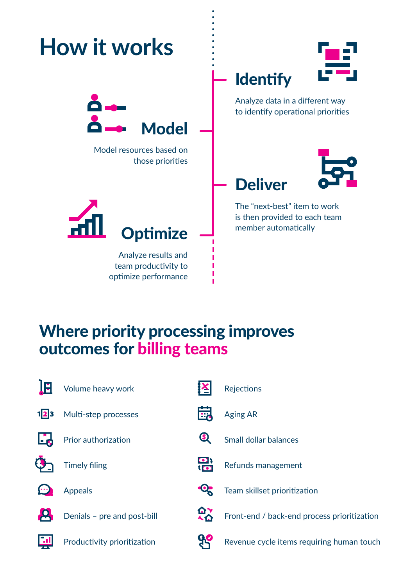

#### Where priority processing improves outcomes for billing teams



Volume heavy work

Multi-step processes





Appeals

Denials – pre and post-bill

Productivity prioritization

|                           | $\left  \frac{\mathbf{X}}{\mathbf{S}} \right $ Rejections |
|---------------------------|-----------------------------------------------------------|
|                           | <b>High</b> Aging AR                                      |
|                           | Small dollar balances                                     |
| $\mathbf{E}$              | Refunds management                                        |
| $\mathbf{Q}_{\mathbf{S}}$ | Team skillset prioritization                              |
|                           | $\mathbf{\Omega}^{\bullet}$ Front-end / back-end proc     |

nt-end / back-end process prioritization



Revenue cycle items requiring human touch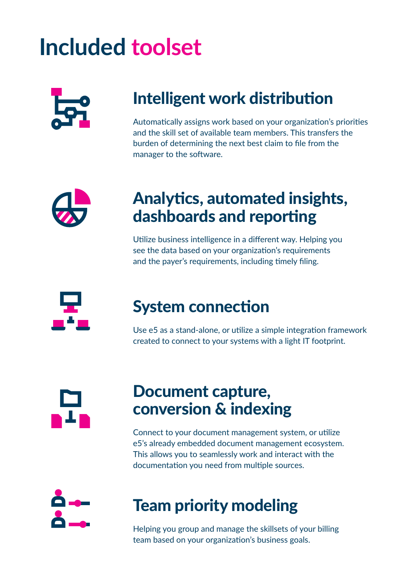# **Included toolset**



#### Intelligent work distribution

Automatically assigns work based on your organization's priorities and the skill set of available team members. This transfers the burden of determining the next best claim to file from the manager to the software.



#### Analytics, automated insights, dashboards and reporting

Utilize business intelligence in a different way. Helping you see the data based on your organization's requirements and the payer's requirements, including timely filing.



#### System connection

Use e5 as a stand-alone, or utilize a simple integration framework created to connect to your systems with a light IT footprint.

#### Document capture, conversion & indexing

Connect to your document management system, or utilize e5's already embedded document management ecosystem. This allows you to seamlessly work and interact with the documentation you need from multiple sources.

### Team priority modeling

Helping you group and manage the skillsets of your billing team based on your organization's business goals.